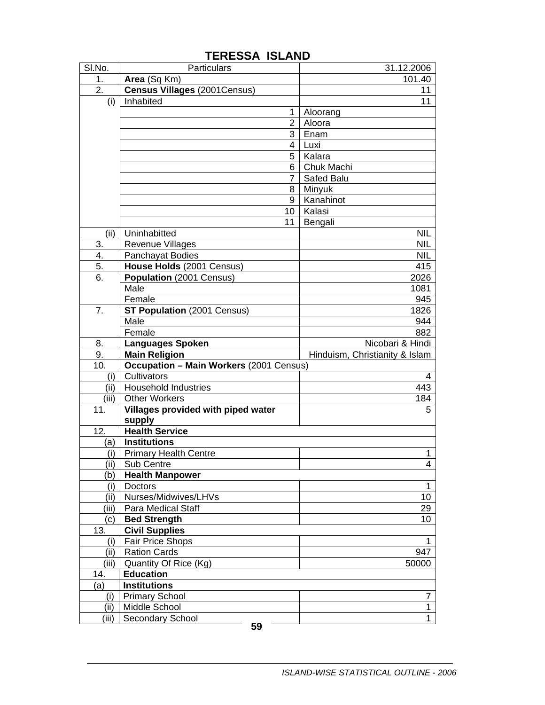| SI.No.                                                    | Particulars                                    | 31.12.2006                     |
|-----------------------------------------------------------|------------------------------------------------|--------------------------------|
| 1.<br>Area (Sq Km)                                        |                                                | 101.40                         |
| 2.                                                        | <b>Census Villages (2001Census)</b>            | 11                             |
| Inhabited<br>(i)                                          |                                                | 11                             |
|                                                           | 1                                              | Aloorang                       |
|                                                           | $\overline{2}$                                 | Aloora                         |
|                                                           | 3                                              | Enam                           |
|                                                           | 4                                              | Luxi                           |
|                                                           | 5                                              | Kalara                         |
|                                                           | 6                                              | Chuk Machi                     |
|                                                           | 7                                              | Safed Balu                     |
|                                                           | 8                                              | Minyuk                         |
|                                                           | 9                                              | Kanahinot                      |
|                                                           | 10                                             | Kalasi                         |
|                                                           | 11                                             | Bengali                        |
| (ii)<br>Uninhabitted                                      |                                                | <b>NIL</b>                     |
| 3.<br><b>Revenue Villages</b>                             |                                                | <b>NIL</b>                     |
| 4.<br>Panchayat Bodies                                    |                                                | <b>NIL</b>                     |
| 5.                                                        | House Holds (2001 Census)                      | 415                            |
| 6.                                                        | Population (2001 Census)                       | 2026                           |
| Male                                                      |                                                | 1081                           |
| Female                                                    |                                                | 945                            |
| 7.                                                        | ST Population (2001 Census)                    | 1826                           |
| Male                                                      |                                                | 944                            |
| Female                                                    |                                                | 882                            |
| <b>Languages Spoken</b><br>8.                             |                                                | Nicobari & Hindi               |
| 9.<br><b>Main Religion</b>                                |                                                | Hinduism, Christianity & Islam |
| 10.                                                       | <b>Occupation - Main Workers (2001 Census)</b> |                                |
| Cultivators<br>(i)<br>(ii)<br><b>Household Industries</b> |                                                | 4<br>443                       |
| (iii)<br><b>Other Workers</b>                             |                                                | 184                            |
| 11.                                                       | Villages provided with piped water             | 5                              |
| supply                                                    |                                                |                                |
| 12.<br><b>Health Service</b>                              |                                                |                                |
| <b>Institutions</b><br>(a)                                |                                                |                                |
| (i)                                                       | <b>Primary Health Centre</b>                   | 1                              |
| (iii)<br>Sub Centre                                       |                                                | $\overline{4}$                 |
| <b>Health Manpower</b><br>(b                              |                                                |                                |
| Doctors<br>(i)                                            |                                                | 1                              |
| (ii)                                                      | Nurses/Midwives/LHVs                           | 10                             |
| <b>Para Medical Staff</b><br>(iii)                        |                                                | 29                             |
| <b>Bed Strength</b><br>(c)                                |                                                | 10                             |
| <b>Civil Supplies</b><br>13.                              |                                                |                                |
| Fair Price Shops<br>(i)                                   |                                                | 1                              |
| <b>Ration Cards</b><br>(iii)                              |                                                |                                |
| (iii)<br>Quantity Of Rice (Kg)                            |                                                | 947                            |
| <b>Education</b><br>14.                                   |                                                | 50000                          |
|                                                           |                                                |                                |
| (a)<br><b>Institutions</b>                                |                                                |                                |
| <b>Primary School</b><br>(i)                              |                                                | 7                              |
| (ii)<br>Middle School<br>(iii)<br>Secondary School        |                                                | 1<br>1                         |

## **TERESSA ISLAND**